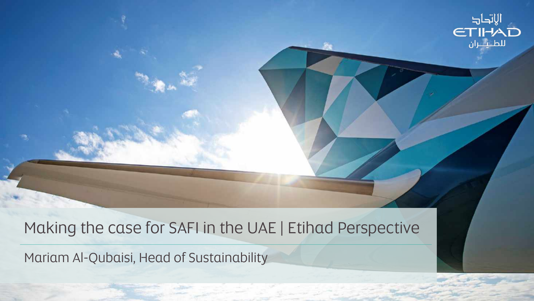

## Making the case for SAFI in the UAE | Etihad Perspective

Mariam Al-Qubaisi, Head of Sustainability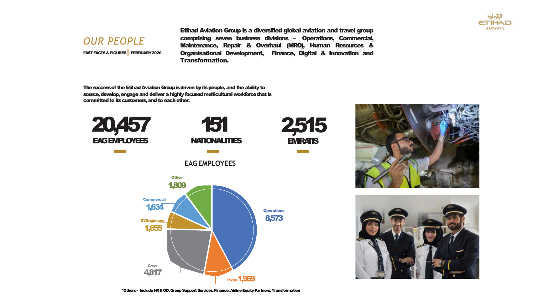

*OUR PEOPLE* FAST FACTS & FIGURES | FEBRUARY2020

Etihad Aviation Group is a diversified global aviation and travel group comprising seven business divisions – Operations, Commercial, Maintenance, Repair & Overhaul (MRO), Human Resources & Organisational Development, Finance, Digital & Innovation and Transformation.

The success of the Etihad Aviation Group is driven by its people, and the ability to source, develop, engage and deliver a highly focused multicultural workforce that is committed to its customers, and to each other.







\*Others - Include HR & OD, Group Support Services, Finance, Airline Equity Partners,Transformation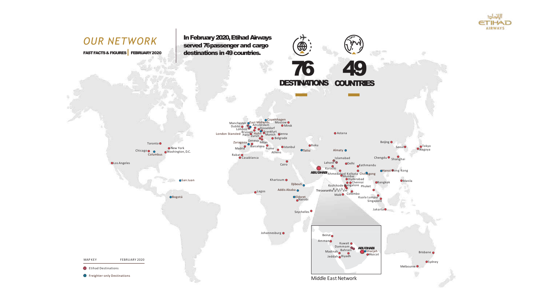

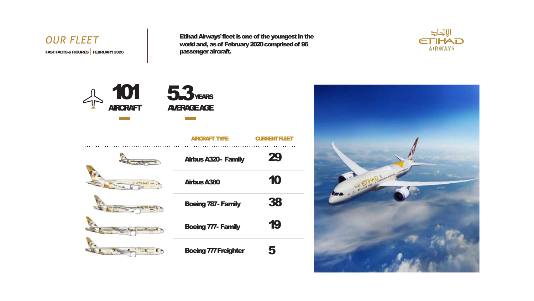#### *OUR FLEET* FAST FACTS & FIGURES | FEBRUARY2020

Etihad Airways' fleet is one of the youngest in the world and, as of February 2020 comprised of 96 passenger aircraft.





|                   | <b>ARCRAFT TYPE</b>         | <b>CLRRENT FLEET</b> |
|-------------------|-----------------------------|----------------------|
|                   | <b>Airbus A320 - Family</b> | 29                   |
| <b>SETIHAD +#</b> | <b>Airbus A380</b>          | 10                   |
|                   | <b>Boeing 787- Family</b>   | 38                   |
|                   | <b>Boeing 777- Family</b>   | <b>19</b>            |
|                   | <b>Boeing 777 Freighter</b> | 5                    |

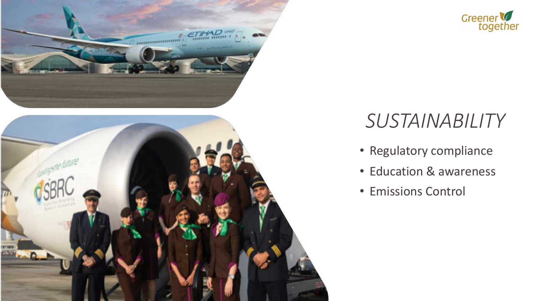



# Greener V

## *SUSTAINABILITY*

- Regulatory compliance
- Education & awareness
- Emissions Control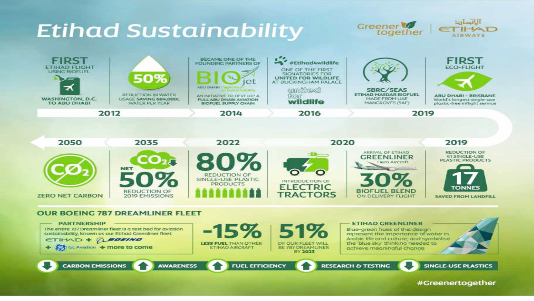## **Etihad Sustainability**

Greener<sup>V</sup>



#Greenertogether





#### **OUR BOEING 787 DREAMLINER FLEET**

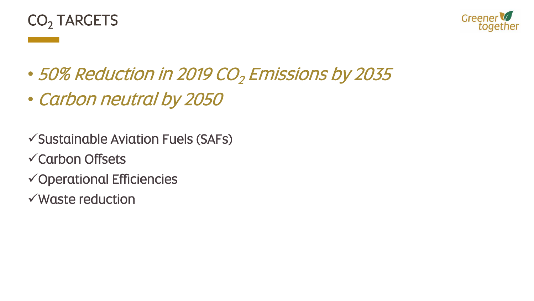



- 50% Reduction in 2019 CO<sub>2</sub> Emissions by 2035
- Carbon neutral by 2050
- $\checkmark$  Sustainable Aviation Fuels (SAFs)
- $\checkmark$  Carbon Offsets
- $\checkmark$  Operational Efficiencies
- $V$ Waste reduction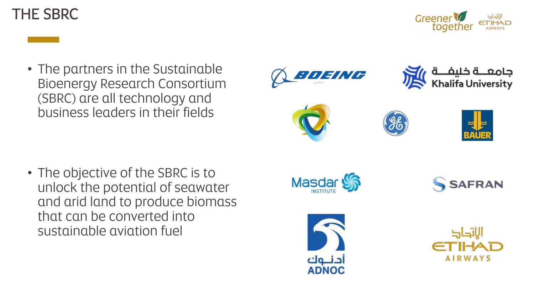



• The partners in the Sustainable Bioenergy Research Consortium (SBRC) are all technology and business leaders in their fields

• The objective of the SBRC is to unlock the potential of seawater and arid land to produce biomass that can be converted into sustainable aviation fuel

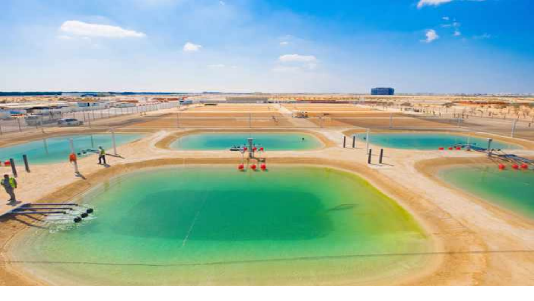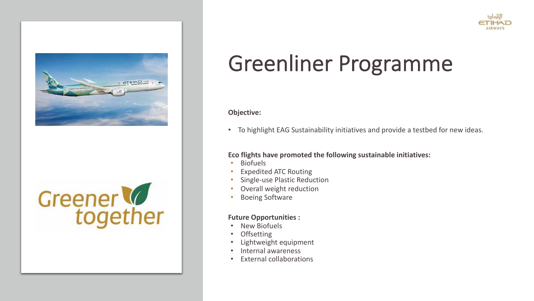





# Greenliner Programme

#### **Objective:**

• To highlight EAG Sustainability initiatives and provide a testbed for new ideas.

#### **Eco flights have promoted the following sustainable initiatives:**

- Biofuels
- Expedited ATC Routing
- Single-use Plastic Reduction
- Overall weight reduction
- Boeing Software

#### **Future Opportunities :**

- New Biofuels
- **Offsetting**
- Lightweight equipment
- Internal awareness
- External collaborations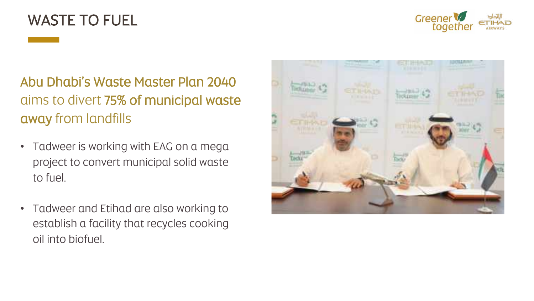### WASTE TO FUEL



Abu Dhabi's Waste Master Plan 2040 aims to divert 75% of municipal waste away from landfills

- Tadweer is working with EAG on a mega project to convert municipal solid waste to fuel.
- Tadweer and Etihad are also working to establish a facility that recycles cooking oil into biofuel.

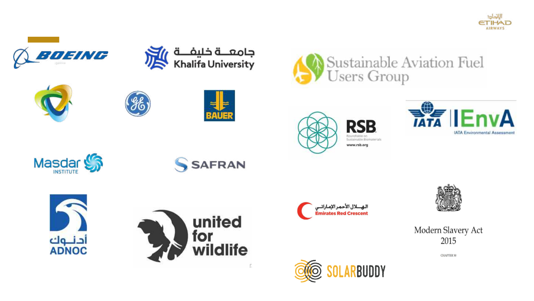





禿











**BAUER** 









Modern Slavery Act 2015

**CHAPTER 30** 

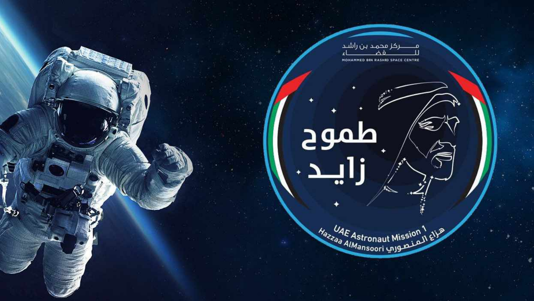

# طموح<br>زایــد

Alazzaa Astronaut Mission 1 2112